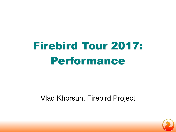# Firebird Tour 2017: Performance

### Vlad Khorsun, Firebird Project

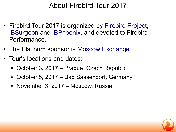# About Firebird Tour 2017

- Firebird Tour 2017 is organized by [Firebird Project,](https://firebirdsql.org/en/firebird-tour-2017-optimization/) [IBSurgeon](https://ib-aid.com/) and [IBPhoenix,](http://ibphoenix.com/) and devoted to Firebird Performance.
- The Platinum sponsor is [Moscow Exchange](https://moex.com/)
- Tour's locations and dates:
	- October 3, 2017 Prague, Czech Republic
	- October 5, 2017 Bad Sassendorf, Germany
	- November 3, 2017 Moscow, Russia

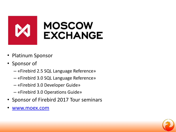

- Platinum Sponsor
- Sponsor of
	- «Firebird 2.5 SQL Language Reference»
	- «Firebird 3.0 SQL Language Reference»
	- «Firebird 3.0 Developer Guide»
	- «Firebird 3.0 Operations Guide»
- Sponsor of Firebird 2017 Tour seminars
- [www.moex.com](http://www.moex.com/)

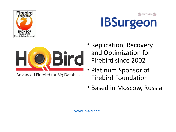

# **GEPLATINUM IBSurgeon**



**Advanced Firebird for Big Databases** 

- Replication, Recovery and Optimization for Firebird since 2002
- Platinum Sponsor of Firebird Foundation
- Based in Moscow, Russia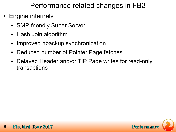Performance related changes in FB3

- Engine internals
	- SMP-friendly Super Server
	- Hash Join algorithm
	- Improved nbackup synchronization
	- Reduced number of Pointer Page fetches
	- Delayed Header and\or TIP Page writes for read-only transactions

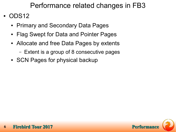### Performance related changes in FB3

- ODS<sub>12</sub>
	- Primary and Secondary Data Pages
	- Flag Swept for Data and Pointer Pages
	- Allocate and free Data Pages by extents
		- Extent is a group of 8 consecutive pages
	- SCN Pages for physical backup

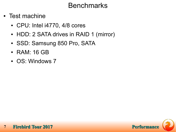### Benchmarks

- Test machine
	- CPU: Intel i4770, 4/8 cores
	- HDD: 2 SATA drives in RAID 1 (mirror)
	- SSD: Samsung 850 Pro, SATA
	- RAM: 16 GB
	- OS: Windows 7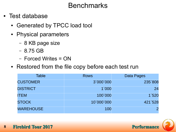### Benchmarks

- Test database
	- Generated by TPCC load tool
	- Physical parameters
		- 8 KB page size
		- 8.75 GB
		- Forced Writes = ON
	- Restored from the file copy before each test run

| <b>Table</b>     | <b>Rows</b> | Data Pages |
|------------------|-------------|------------|
| <b>CUSTOMER</b>  | 3`000`000   | 235`808    |
| <b>DISTRICT</b>  | 1`000       | 24         |
| <b>ITEM</b>      | 100`000     | 1`520      |
| <b>STOCK</b>     | 10`000`000  | 421`528    |
| <b>WAREHOUSE</b> | 100         |            |

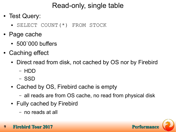- Test Query:
	- SELECT COUNT(\*) FROM STOCK
- Page cache
	- 500`000 buffers
- Caching effect
	- Direct read from disk, not cached by OS nor by Firebird
		- HDD
		- SSD
	- Cached by OS, Firebird cache is empty
		- all reads are from OS cache, no read from physical disk
	- Fully cached by Firebird
		- no reads at all

**9 Firebird Tour 2017 Performance Performance Performance** 

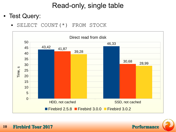- Test Query:
	- SELECT COUNT(\*) FROM STOCK



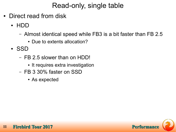- Direct read from disk
	- HDD
		- Almost identical speed while FB3 is a bit faster than FB 2.5
			- Due to extents allocation?
	- SSD
		- FB 2.5 slower than on HDD!
			- It requires extra investigation
		- FB 3 30% faster on SSD
			- As expected

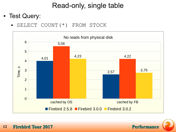- Test Query:
	- SELECT COUNT(\*) FROM STOCK



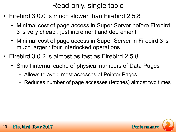- Firebird 3.0.0 is much slower than Firebird 2.5.8
	- Minimal cost of page access in Super Server before Firebird 3 is very cheap : just increment and decrement
	- Minimal cost of page access in Super Server in Firebird 3 is much larger : four interlocked operations
- Firebird 3.0.2 is almost as fast as Firebird 2.5.8
	- Small internal cache of physical numbers of Data Pages
		- Allows to avoid most accesses of Pointer Pages
		- Reduces number of page accesses (fetches) almost two times

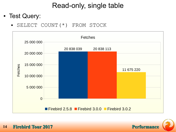- Test Query:
	- SELECT COUNT(\*) FROM STOCK



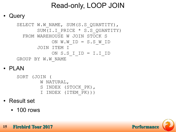# Read-only, LOOP JOIN

#### **Query**

```
SELECT W.W NAME, SUM(S.S QUANTITY),
       SUM(I.I PRICE * S.S QUANTITY)
   FROM WAREHOUSE W JOIN STOCK S 
            ON W.WID = S.S WID JOIN ITEM I 
             ON S.S_I_ID = I.I_ID
GROUP BY W.W_NAME
```
● PLAN

```
SORT (JOIN (
        W NATURAL, 
        S INDEX (STOCK_PK), 
        I INDEX (ITEM_PK)))
```
- **Result set** 
	- 100 rows

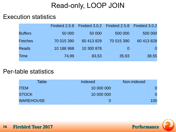# Read-only, LOOP JOIN

#### Execution statistics

|                |            |            | Firebird 2.5.8 Firebird 3.0.2 Firebird 2.5.8 Firebird 3.0.2 |            |
|----------------|------------|------------|-------------------------------------------------------------|------------|
| <b>Buffers</b> | 50 000     | 50 000     | 500 000                                                     | 500 000    |
| <b>Fetches</b> | 70 015 390 | 60 413 829 | 70 015 390                                                  | 60 413 828 |
| <b>Reads</b>   | 10 188 968 | 10 300 878 |                                                             |            |
| <b>Time</b>    | 74,99      | 83,53      | 35,93                                                       | 38,55      |

#### Per-table statistics

| Table            | Indexed    | Non-indexed |
|------------------|------------|-------------|
| <b>ITEM</b>      | 10 000 000 |             |
| <b>STOCK</b>     | 10 000 000 |             |
| <b>WAREHOUSE</b> |            | 100         |

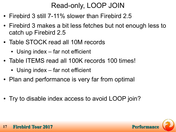# Read-only, LOOP JOIN

- Firebird 3 still 7-11% slower than Firebird 2.5
- Firebird 3 makes a bit less fetches but not enough less to catch up Firebird 2.5
- Table STOCK read all 10M records
	- Using index  $-$  far not efficient
- Table ITEMS read all 100K records 100 times!
	- Using index far not efficient
- Plan and performance is very far from optimal
- Try to disable index access to avoid LOOP join?

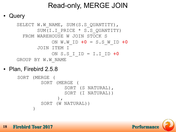# Read-only, MERGE JOIN

#### **Query**

```
SELECT W.W NAME, SUM(S.S QUANTITY),
       SUM(I.I PRICE * S.S QUANTITY)
   FROM WAREHOUSE W JOIN STOCK S 
             ON W.W_ID +0 = S.S_W_ID +0
        JOIN ITEM I 
             ON S.S_I_ID = I.I_ID +0
GROUP BY W.W_NAME
```
Plan, Firebird 2.5.8

```
SORT (MERGE (
         SORT (MERGE (
                  SORT (S NATURAL), 
                  SORT (I NATURAL))
                 ), 
         SORT (W NATURAL))
      \big)
```
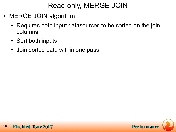# Read-only, MERGE JOIN

- MERGE JOIN algorithm
	- Requires both input datasources to be sorted on the join columns
	- Sort both inputs
	- Join sorted data within one pass

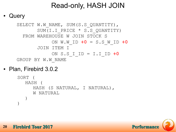# Read-only, HASH JOIN

#### **Query**

```
SELECT W.W NAME, SUM(S.S QUANTITY),
       SUM(I.I PRICE * S.S QUANTITY)
   FROM WAREHOUSE W JOIN STOCK S 
             ON W.W_ID +0 = S.S_W_ID +0
        JOIN ITEM I 
             ON S.S_I_ID = I.I_ID +0
GROUP BY W.W_NAME
```
Plan, Firebird 3.0.2

```
SORT (
   HASH (
      HASH (S NATURAL, I NATURAL), 
      W NATURAL
   \big)\big)
```
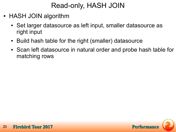# Read-only, HASH JOIN

- HASH JOIN algorithm
	- Set larger datasource as left input, smaller datasource as right input
	- Build hash table for the right (smaller) datasource
	- Scan left datasource in natural order and probe hash table for matching rows

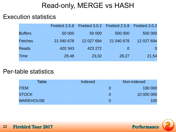# Read-only, MERGE vs HASH

#### Execution statistics

|                |            |            | Firebird 2.5.8 Firebird 3.0.2 Firebird 2.5.8 Firebird 3.0.2 |            |
|----------------|------------|------------|-------------------------------------------------------------|------------|
| <b>Buffers</b> | 50 000     | 50 000     | 500 000                                                     | 500 000    |
| <b>Fetches</b> | 21 040 678 | 12 027 694 | 21 040 678                                                  | 12 027 694 |
| <b>Reads</b>   | 420 343    | 423 272    |                                                             | $\Omega$   |
| <b>Time</b>    | 29,48      | 23,02      | 28,27                                                       | 21,54      |

#### Per-table statistics

| <b>Table</b>     | Indexed | Non-indexed |
|------------------|---------|-------------|
| <b>ITEM</b>      |         | 100 000     |
| <b>STOCK</b>     |         | 10 000 000  |
| <b>WAREHOUSE</b> |         | 100         |

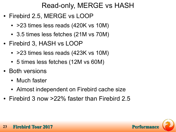# Read-only, MERGE vs HASH

- Firebird 2.5, MERGE vs LOOP
	- > 23 times less reads (420K vs 10M)
	- 3.5 times less fetches (21M vs 70M)
- Firebird 3, HASH vs LOOP
	- $\cdot$  >23 times less reads (423K vs 10M)
	- 5 times less fetches (12M vs 60M)
- Both versions
	- Much faster
	- Almost independent on Firebird cache size
- Firebird 3 now  $>22\%$  faster than Firebird 2.5

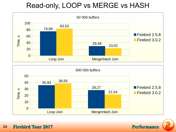# Read-only, LOOP vs MERGE vs HASH





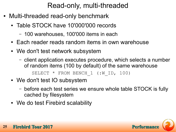- Multi-threaded read-only benchmark
	- Table STOCK have 10'000'000 records
		- 100 warehouses, 100'000 items in each
	- Each reader reads random items in own warehouse
	- We don't test network subsystem
		- client application executes procedure, which selects a number of random items (100 by default) of the same warehouse SELECT \* FROM BENCH 1 (:W ID, 100)
	- We don't test IO subsystem
		- before each test series we ensure whole table STOCK is fully cached by filesystem
	- We do test Firebird scalability

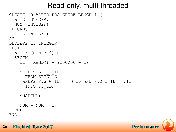```
CREATE OR ALTER PROCEDURE BENCH_1 (
   W_ID INTEGER,
   NUM INTEGER)
RETURNS (
   I_ID INTEGER)
AS
DECLARE I1 INTEGER;
BEGIN
   WHILE (NUM > 0) DO
  BEGIN
    I1 = RAND() * (100000 - 1);
     SELECT S.S_I_ID
       FROM STOCK S
     WHERE S.S W ID = :W ID AND S.S I ID = :I1
       INTO :I_ID;
     SUSPEND;
    NUM = NUM - 1; END
END
```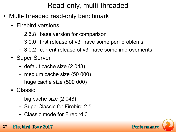- Multi-threaded read-only benchmark
	- Firebird versions
		- 2.5.8 base version for comparison
		- 3.0.0 first release of v3, have some perf problems
		- 3.0.2 current release of v3, have some improvements
	- Super Server
		- default cache size (2 048)
		- medium cache size (50 000)
		- huge cache size (500 000)
	- Classic
		- big cache size (2 048)
		- SuperClassic for Firebird 2.5
		- Classic mode for Firebird 3

#### **27 Firebird Tour 2017 Performance Performance**

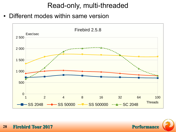• Different modes within same version



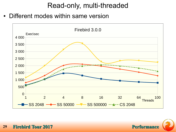• Different modes within same version



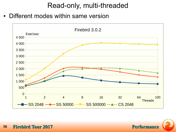• Different modes within same version



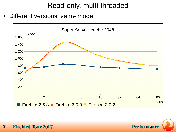• Different versions, same mode



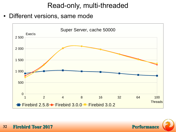• Different versions, same mode



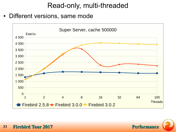• Different versions, same mode

![](_page_32_Figure_2.jpeg)

![](_page_32_Picture_3.jpeg)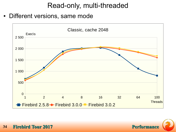• Different versions, same mode

![](_page_33_Figure_2.jpeg)

![](_page_33_Picture_3.jpeg)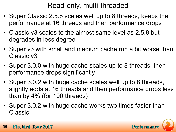- Super Classic 2.5.8 scales well up to 8 threads, keeps the performance at 16 threads and then performance drops
- Classic v3 scales to the almost same level as 2.5.8 but degrades in less degree
- Super v3 with small and medium cache run a bit worse than Classic v3
- Super 3.0.0 with huge cache scales up to 8 threads, then performance drops significantly
- Super 3.0.2 with huge cache scales well up to 8 threads, slightly adds at 16 threads and then performance drops less than by 4% (for 100 threads)
- Super 3.0.2 with huge cache works two times faster than Classic

![](_page_34_Picture_7.jpeg)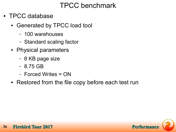# TPCC benchmark

- TPCC database
	- Generated by TPCC load tool
		- 100 warehouses
		- Standard scaling factor
	- Physical parameters
		- 8 KB page size
		- 8.75 GB
		- Forced Writes = ON
	- Restored from the file copy before each test run

![](_page_35_Picture_10.jpeg)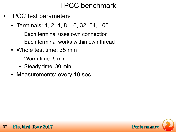### TPCC benchmark

- TPCC test parameters
	- Terminals: 1, 2, 4, 8, 16, 32, 64, 100
		- Each terminal uses own connection
		- Each terminal works within own thread
	- Whole test time: 35 min
		- Warm time: 5 min
		- Steady time: 30 min
	- Measurements: every 10 sec

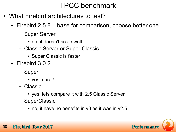### TPCC benchmark

- What Firebird architectures to test?
	- Firebird 2.5.8 base for comparison, choose better one
		- Super Server
			- no, it doesn't scale well
		- Classic Server or Super Classic
			- Super Classic is faster
	- Firebird 3.0.2
		- Super
			- yes, sure?
		- Classic
			- yes, lets compare it with 2.5 Classic Server
		- SuperClassic
			- $\cdot$  no, it have no benefits in v3 as it was in v2.5



#### **38 Firebird Tour 2017** Performance **Performance**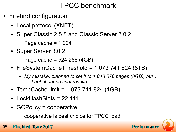# TPCC benchmark

- Firebird configuration
	- Local protocol (XNET)
	- Super Classic 2.5.8 and Classic Server 3.0.2
		- $-$  Page cache = 1 024
	- Super Server 3.0.2
		- $-$  Page cache = 524 288 (4GB)
	- $\cdot$  FileSystemCacheThreshold = 1 073 741 824 (8TB)
		- *My mistake, planned to set it to 1 048 576 pages (8GB), but… … it not changes final results*
	- TempCacheLimit =  $1073741824(1GB)$
	- $\cdot$  LockHashSlots = 22 111
	- GCPolicy = cooperative
		- cooperative is best choice for TPCC load
- **39 Firebird Tour 2017 Performs**

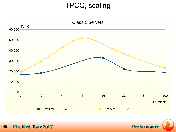### TPCC, scaling



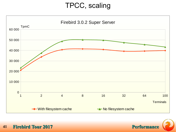# TPCC, scaling



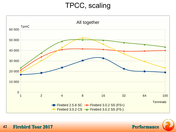# TPCC, scaling



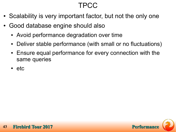# TPCC

- Scalability is very important factor, but not the only one
- Good database engine should also
	- Avoid performance degradation over time
	- Deliver stable performance (with small or no fluctuations)
	- Ensure equal performance for every connection with the same queries
	- etc

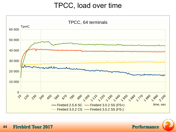#### TPCC, load over time



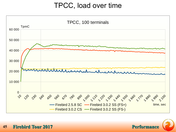#### TPCC, load over time



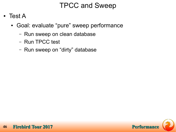- **Test A** 
	- Goal: evaluate "pure" sweep performance
		- Run sweep on clean database
		- Run TPCC test
		- Run sweep on "dirty" database

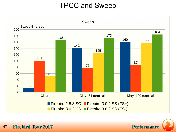

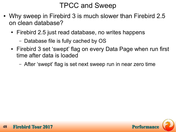- Why sweep in Firebird 3 is much slower than Firebird 2.5 on clean database?
	- Firebird 2.5 just read database, no writes happens
		- Database file is fully cached by OS
	- Firebird 3 set 'swept' flag on every Data Page when run first time after data is loaded
		- After 'swept' flag is set next sweep run in near zero time

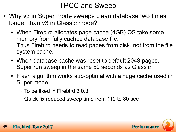- Why v3 in Super mode sweeps clean database two times longer than v3 in Classic mode?
	- When Firebird allocates page cache (4GB) OS take some memory from fully cached database file. Thus Firebird needs to read pages from disk, not from the file system cache.
	- When database cache was reset to default 2048 pages, Super run sweep in the same 50 seconds as Classic
	- Flash algorithm works sub-optimal with a huge cache used in Super mode
		- To be fixed in Firebird 3.0.3
		- Quick fix reduced sweep time from 110 to 80 sec

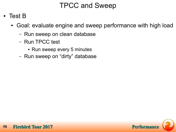- Test B
	- Goal: evaluate engine and sweep performance with high load
		- Run sweep on clean database
		- Run TPCC test
			- Run sweep every 5 minutes
		- Run sweep on "dirty" database

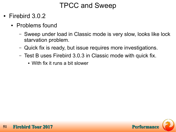- Firebird  $3.0.2$ 
	- Problems found
		- Sweep under load in Classic mode is very slow, looks like lock starvation problem.
		- Quick fix is ready, but issue requires more investigations.
		- Test B uses Firebird 3.0.3 in Classic mode with quick fix.
			- With fix it runs a bit slower

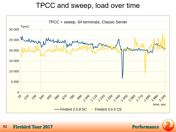

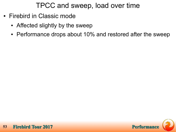- Firebird in Classic mode
	- Affected slightly by the sweep
	- Performance drops about 10% and restored after the sweep

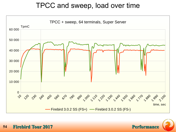

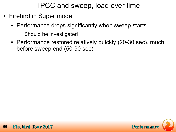- Firebird in Super mode
	- Performance drops significantly when sweep starts
		- Should be investigated
	- Performance restored relatively quickly (20-30 sec), much before sweep end (50-90 sec)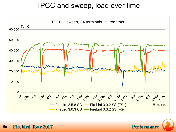

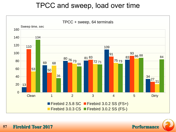

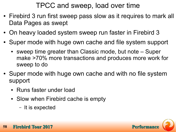- Firebird 3 run first sweep pass slow as it requires to mark all Data Pages as swept
- On heavy loaded system sweep run faster in Firebird 3
- Super mode with huge own cache and file system support
	- sweep time greater than Classic mode, but note Super make >70% more transactions and produces more work for sweep to do
- Super mode with huge own cache and with no file system support
	- Runs faster under load
	- Slow when Firebird cache is empty
		- It is expected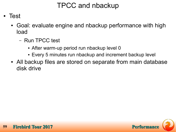- **Test** 
	- Goal: evaluate engine and nbackup performance with high load
		- Run TPCC test
			- After warm-up period run nbackup level 0
			- Every 5 minutes run nbackup and increment backup level
	- All backup files are stored on separate from main database disk drive

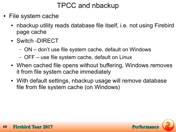- File system cache
	- nbackup utility reads database file itself, i.e. not using Firebird page cache
	- Switch -DIRECT
		- ON don't use file system cache, default on Windows
		- OFF use file system cache, default on Linux
	- When cached file opens without buffering, Windows removes it from file system cache immediately
	- With default settings, nbackup usage will remove database file from file system cache (on Windows)

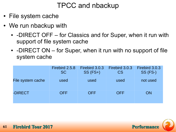- File system cache
- We run nbackup with
	- -DIRECT OFF for Classics and for Super, when it run with support of file system cache
	- -DIRECT ON for Super, when it run with no support of file system cache

|                   | Firebird 2.5.8<br><b>SC</b> | Firebird 3.0.3<br>$SS(FS+)$ | Firebird 3.0.3<br>CS | Firebird 3.0.3<br>SS (FS-) |
|-------------------|-----------------------------|-----------------------------|----------------------|----------------------------|
| File system cache | used                        | used                        | used                 | not used                   |
| -DIRECT           | <b>OFF</b>                  | <b>OFF</b>                  | <b>OFF</b>           | ON                         |

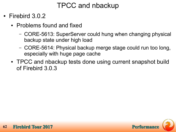- Firebird  $3.0.2$ 
	- Problems found and fixed
		- CORE-5613: SuperServer could hung when changing physical backup state under high load
		- CORE-5614: Physical backup merge stage could run too long, especially with huge page cache
	- TPCC and nbackup tests done using current snapshot build of Firebird 3.0.3

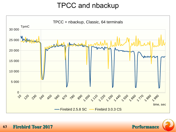

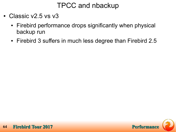- Classic v2.5 vs v3
	- Firebird performance drops significantly when physical backup run
	- Firebird 3 suffers in much less degree than Firebird 2.5

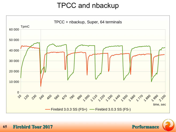

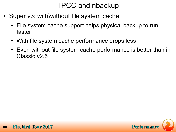- Super v3: with\without file system cache
	- File system cache support helps physical backup to run faster
	- With file system cache performance drops less
	- Even without file system cache performance is better than in Classic v2.5

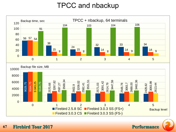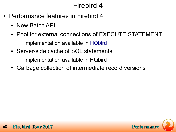- Performance features in Firebird 4
	- New Batch API
	- Pool for external connections of EXECUTE STATEMENT
		- Implementation available in [HQbird](https://ib-aid.com/en/hqbird)
	- Server-side cache of SQL statements
		- Implementation available in HQbird
	- Garbage collection of intermediate record versions

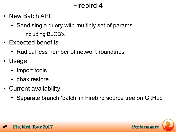- New Batch API
	- Send single query with multiply set of params
		- Including BLOB's
- Expected benefits
	- Radical less number of network roundtrips
- **Usage** 
	- Import tools
	- gbak restore
- Current availability
	- Separate branch 'batch' in Firebird source tree on GitHub

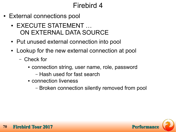- External connections pool
	- EXECUTE STATEMENT ... ON EXTERNAL DATA SOURCE
	- Put unused external connection into pool
	- Lookup for the new external connection at pool
		- Check for
			- connection string, user name, role, password – Hash used for fast search
			- connection liveness
				- Broken connection silently removed from pool

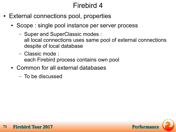- External connections pool, properties
	- Scope : single pool instance per server process
		- Super and SuperClassic modes : all local connections uses same pool of external connections despite of local database
		- Classic mode : each Firebird process contains own pool
	- Common for all external databases
		- To be discussed

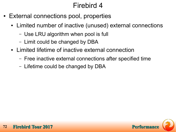- External connections pool, properties
	- Limited number of inactive (unused) external connections
		- Use LRU algorithm when pool is full
		- Limit could be changed by DBA
	- Limited lifetime of inactive external connection
		- Free inactive external connections after specified time
		- Lifetime could be changed by DBA

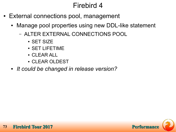- External connections pool, management
	- Manage pool properties using new DDL-like statement
		- ALTER EXTERNAL CONNECTIONS POOL
			- SET SIZE
			- SET LIFETIME
			- CLEAR ALL
			- CLEAR OLDEST
	- *It could be changed in release version?*

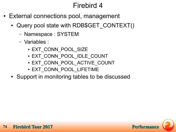- External connections pool, management
	- Query pool state with RDB\$GET CONTEXT()
		- Namespace : SYSTEM
		- Variables :
			- EXT CONN POOL SIZE
			- EXT\_CONN\_POOL\_IDLE\_COUNT
			- EXT CONN POOL ACTIVE COUNT
			- EXT\_CONN\_POOL\_LIFETIME
	- Support in monitoring tables to be discussed

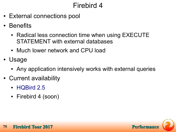- External connections pool
- Benefits
	- Radical less connection time when using EXECUTE STATEMENT with external databases
	- Much lower network and CPU load
- Usage
	- Any application intensively works with external queries
- Current availability
	- [HQBird 2.5](http://www.ib-aid.com/)
	- Firebird 4 (soon)

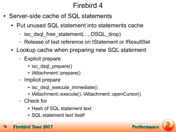- Server-side cache of SQL statements
	- Put unused SQL statement into statements cache
		- isc\_dsql\_free\_statement(..., DSQL\_drop)
		- Release of last reference on IStatement or IResultSet
	- Lookup cache when preparing new SQL statement
		- Explicit prepare
			- isc\_dsql\_prepare()
			- IAttachment::prepare()
		- Implicit prepare
			- isc dsql execute immediate()
			- IAttachment::execute(), IAttachment::openCursor()
		- Check for
			- Hash of SQL statement text
			- SQL statement text itself



**76 • Firebird Tour 2017 Performance Performance Performance Performance Performance**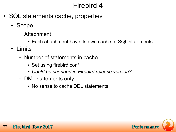- SQL statements cache, properties
	- Scope
		- Attachment
			- Each attachment have its own cache of SQL statements
	- Limits
		- Number of statements in cache
			- Set using firebird.conf
			- *Could be changed in Firebird release version?*
		- DML statements only
			- No sense to cache DDL statements

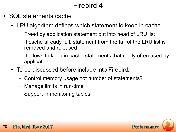- SQL statements cache
	- LRU algorithm defines which statement to keep in cache
		- Freed by application statement put into head of LRU list
		- If cache already full, statement from the tail of the LRU list is removed and released
		- It allows to keep in cache statements that really often used by application
	- To be discussed before include into Firebird:
		- Control memory usage not number of statements?
		- Manage limits in run-time
		- Support in monitoring tables

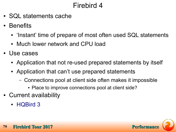- SQL statements cache
- Benefits
	- 'Instant' time of prepare of most often used SQL statements
	- Much lower network and CPU load
- Use cases
	- Application that not re-used prepared statements by itself
	- Application that can't use prepared statements
		- Connections pool at client side often makes it impossible
			- Place to improve connections pool at client side?
- Current availability
	- [HQBird 3](http://www.ib-aid.com/)

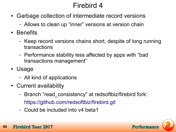- Garbage collection of intermediate record versions
	- Allows to clean up "inner" versions at version chain
- Benefits
	- Keep record versions chains short, despite of long running transactions
	- Performance stability less affected by apps with "bad transactions management"
- Usage
	- All kind of applications
- Current availability
	- Branch "read\_consistency" at redsoftbiz/firebird fork: <https://github.com/redsoftbiz/firebird.git>
	- Could be included into v4 beta1



#### **80 • Firebird Tour 2017 Performance Perform**